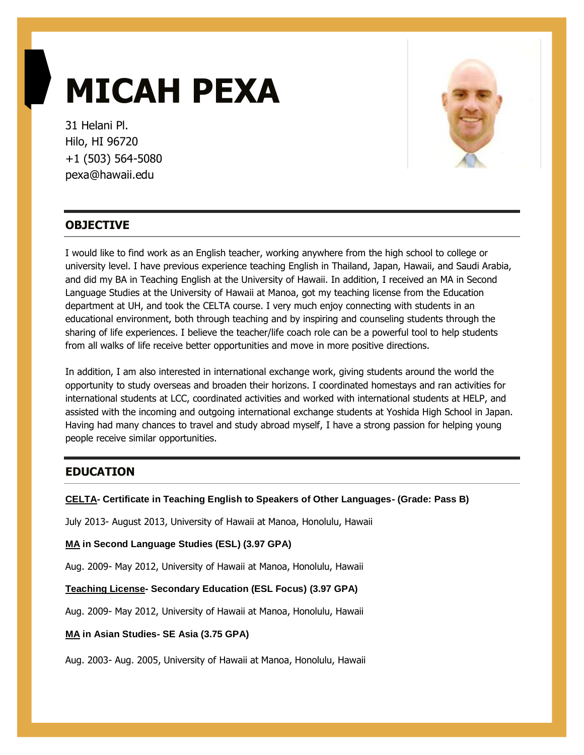# **MICAH PEXA**

31 Helani Pl. Hilo, HI 96720 +1 (503) 564-5080 pexa@hawaii.edu



# **OBJECTIVE**

I would like to find work as an English teacher, working anywhere from the high school to college or university level. I have previous experience teaching English in Thailand, Japan, Hawaii, and Saudi Arabia, and did my BA in Teaching English at the University of Hawaii. In addition, I received an MA in Second Language Studies at the University of Hawaii at Manoa, got my teaching license from the Education department at UH, and took the CELTA course. I very much enjoy connecting with students in an educational environment, both through teaching and by inspiring and counseling students through the sharing of life experiences. I believe the teacher/life coach role can be a powerful tool to help students from all walks of life receive better opportunities and move in more positive directions.

In addition, I am also interested in international exchange work, giving students around the world the opportunity to study overseas and broaden their horizons. I coordinated homestays and ran activities for international students at LCC, coordinated activities and worked with international students at HELP, and assisted with the incoming and outgoing international exchange students at Yoshida High School in Japan. Having had many chances to travel and study abroad myself, I have a strong passion for helping young people receive similar opportunities.

# **EDUCATION**

## **CELTA- Certificate in Teaching English to Speakers of Other Languages- (Grade: Pass B)**

July 2013- August 2013, University of Hawaii at Manoa, Honolulu, Hawaii

**MA in Second Language Studies (ESL) (3.97 GPA)**

Aug. 2009- May 2012, University of Hawaii at Manoa, Honolulu, Hawaii

**Teaching License- Secondary Education (ESL Focus) (3.97 GPA)**

Aug. 2009- May 2012, University of Hawaii at Manoa, Honolulu, Hawaii

**MA in Asian Studies- SE Asia (3.75 GPA)**

Aug. 2003- Aug. 2005, University of Hawaii at Manoa, Honolulu, Hawaii